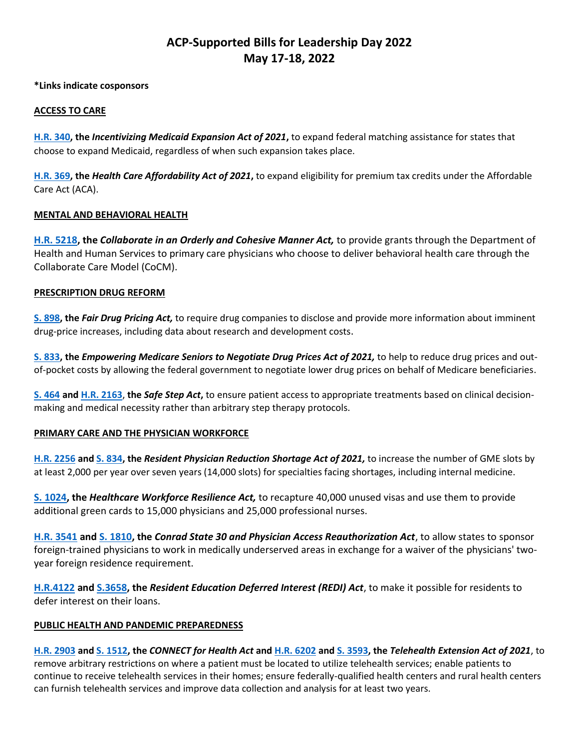# **ACP-Supported Bills for Leadership Day 2022 May 17-18, 2022**

**\*Links indicate cosponsors**

### **ACCESS TO CARE**

**[H.R. 340,](https://www.congress.gov/bill/117th-congress/house-bill/340/cosponsors?q=%7b%22search%22:%5b%22hr340%22%5d%7d&r=1&s=1&searchResultViewType=expanded) the** *Incentivizing Medicaid Expansion Act of 2021***,** to expand federal matching assistance for states that choose to expand Medicaid, regardless of when such expansion takes place.

**[H.R. 369,](https://www.congress.gov/bill/117th-congress/house-bill/369/cosponsors?q=%7b%22search%22:%5b%22hr369%22%5d%7d&r=1&s=2&searchResultViewType=expanded) the** *Health Care Affordability Act of 2021***,** to expand eligibility for premium tax credits under the Affordable Care Act (ACA).

### **MENTAL AND BEHAVIORAL HEALTH**

**[H.R. 5218,](https://www.congress.gov/bill/117th-congress/house-bill/5218/cosponsors?q=%7B%22search%22%3A%5B%22hr5218%22%2C%22hr5218%22%5D%7D&r=1&s=2) the** *Collaborate in an Orderly and Cohesive Manner Act,* to provide grants through the Department of Health and Human Services to primary care physicians who choose to deliver behavioral health care through the Collaborate Care Model (CoCM).

### **PRESCRIPTION DRUG REFORM**

**[S. 898,](https://www.congress.gov/bill/117th-congress/senate-bill/898/cosponsors?q=%7b%22search%22:%5b%22s898%22%5d%7d&r=1&s=2&searchResultViewType=expanded) the** *Fair Drug Pricing Act,* to require drug companies to disclose and provide more information about imminent drug-price increases, including data about research and development costs.

**[S. 833,](https://www.congress.gov/bill/117th-congress/senate-bill/833/cosponsors?q=%7b%22search%22:%5b%22s833%22%5d%7d&r=1&s=3&searchResultViewType=expanded) the** *Empowering Medicare Seniors to Negotiate Drug Prices Act of 2021,* to help to reduce drug prices and outof-pocket costs by allowing the federal government to negotiate lower drug prices on behalf of Medicare beneficiaries.

**[S. 464](https://www.congress.gov/bill/117th-congress/senate-bill/464/cosponsors?q=%7b%22search%22:%5b%22s464%22%5d%7d&r=1&s=5&searchResultViewType=expanded) an[d H.R. 2163](https://www.congress.gov/bill/117th-congress/house-bill/2163/cosponsors?q=%7b%22search%22:%5b%22hr2163%22%5d%7d&r=1&s=6&searchResultViewType=expanded)**, **the** *Safe Step Act***,** to ensure patient access to appropriate treatments based on clinical decisionmaking and medical necessity rather than arbitrary step therapy protocols.

## **PRIMARY CARE AND THE PHYSICIAN WORKFORCE**

**[H.R. 2256](https://www.congress.gov/bill/117th-congress/house-bill/2256/cosponsors?q=%7b%22search%22:%5b%22hr2256%22%5d%7d&r=1&s=3&searchResultViewType=expanded) and [S. 834,](https://www.congress.gov/bill/117th-congress/senate-bill/834/cosponsors?q=%7b%22search%22:%5b%22s834%22%5d%7d&r=1&s=4&searchResultViewType=expanded) the** *Resident Physician Reduction Shortage Act of 2021,* to increase the number of GME slots by at least 2,000 per year over seven years (14,000 slots) for specialties facing shortages, including internal medicine.

**[S. 1024,](https://www.congress.gov/bill/117th-congress/senate-bill/1024/cosponsors?q=%7B%22search%22%3A%5B%22s1024%22%2C%22s1024%22%5D%7D&r=1&s=3) the** *Healthcare Workforce Resilience Act,* to recapture 40,000 unused visas and use them to provide additional green cards to 15,000 physicians and 25,000 professional nurses.

**[H.R. 3541](https://www.congress.gov/bill/117th-congress/house-bill/3541/cosponsors?q=%7B%22search%22%3A%5B%22hr3541%22%2C%22hr3541%22%5D%7D&r=1&s=4) and [S. 1810,](https://www.congress.gov/bill/117th-congress/senate-bill/1810/cosponsors?q=%7B%22search%22%3A%5B%22s1810%22%2C%22s1810%22%5D%7D&r=1&s=5) the** *Conrad State 30 and Physician Access Reauthorization Act*, to allow states to sponsor foreign-trained physicians to work in medically underserved areas in exchange for a waiver of the physicians' twoyear foreign residence requirement.

**[H.R.4122](https://www.congress.gov/bill/117th-congress/house-bill/4122/cosponsors?q=%7B%22search%22%3A%5B%22hr4122%22%2C%22hr4122%22%5D%7D&r=1&s=6) and [S.3658,](https://www.congress.gov/bill/117th-congress/senate-bill/3658/cosponsors?q=%7B%22search%22%3A%5B%22s3658%22%2C%22s3658%22%5D%7D&r=1&s=7) the** *Resident Education Deferred Interest (REDI) Act*, to make it possible for residents to defer interest on their loans.

#### **PUBLIC HEALTH AND PANDEMIC PREPAREDNESS**

**[H.R. 2903](https://www.congress.gov/bill/117th-congress/house-bill/2903/cosponsors?q=%7B%22search%22%3A%5B%22hr2903%22%2C%22hr2903%22%5D%7D&r=1&s=8) and [S. 1512,](https://www.congress.gov/bill/117th-congress/senate-bill/1512/cosponsors?q=%7B%22search%22%3A%5B%22s1512%22%2C%22s1512%22%5D%7D&r=1&s=9) the** *CONNECT for Health Act* **and [H.R. 6202](https://www.congress.gov/bill/117th-congress/house-bill/6202/cosponsors?q=%7B%22search%22%3A%5B%22hr6202%22%2C%22hr6202%22%5D%7D&r=1&s=10) an[d S. 3593,](https://www.congress.gov/bill/117th-congress/senate-bill/3593/cosponsors?q=%7B%22search%22%3A%5B%22s3593%22%2C%22s3593%22%5D%7D&r=1&s=1) the** *Telehealth Extension Act of 2021*, to remove arbitrary restrictions on where a patient must be located to utilize telehealth services; enable patients to continue to receive telehealth services in their homes; ensure federally-qualified health centers and rural health centers can furnish telehealth services and improve data collection and analysis for at least two years.